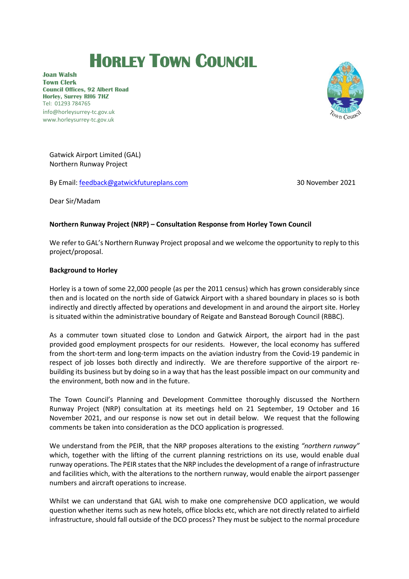# **HORLEY TOWN COUNCIL**

**Joan Walsh Town Clerk Council Offices, 92 Albert Road Horley, Surrey RH6 7HZ** Tel: 01293 784765 info@horleysurrey-tc.gov.uk www.horleysurrey-tc.gov.uk



Gatwick Airport Limited (GAL) Northern Runway Project

By Email[: feedback@gatwickfutureplans.com](mailto:feedback@gatwickfutureplans.com) 30 November 2021

Dear Sir/Madam

# **Northern Runway Project (NRP) – Consultation Response from Horley Town Council**

We refer to GAL's Northern Runway Project proposal and we welcome the opportunity to reply to this project/proposal.

## **Background to Horley**

Horley is a town of some 22,000 people (as per the 2011 census) which has grown considerably since then and is located on the north side of Gatwick Airport with a shared boundary in places so is both indirectly and directly affected by operations and development in and around the airport site. Horley is situated within the administrative boundary of Reigate and Banstead Borough Council (RBBC).

As a commuter town situated close to London and Gatwick Airport, the airport had in the past provided good employment prospects for our residents. However, the local economy has suffered from the short-term and long-term impacts on the aviation industry from the Covid-19 pandemic in respect of job losses both directly and indirectly. We are therefore supportive of the airport rebuilding its business but by doing so in a way that has the least possible impact on our community and the environment, both now and in the future.

The Town Council's Planning and Development Committee thoroughly discussed the Northern Runway Project (NRP) consultation at its meetings held on 21 September, 19 October and 16 November 2021, and our response is now set out in detail below. We request that the following comments be taken into consideration as the DCO application is progressed.

We understand from the PEIR, that the NRP proposes alterations to the existing *"northern runway"* which, together with the lifting of the current planning restrictions on its use, would enable dual runway operations. The PEIR states that the NRP includes the development of a range of infrastructure and facilities which, with the alterations to the northern runway, would enable the airport passenger numbers and aircraft operations to increase.

Whilst we can understand that GAL wish to make one comprehensive DCO application, we would question whether items such as new hotels, office blocks etc, which are not directly related to airfield infrastructure, should fall outside of the DCO process? They must be subject to the normal procedure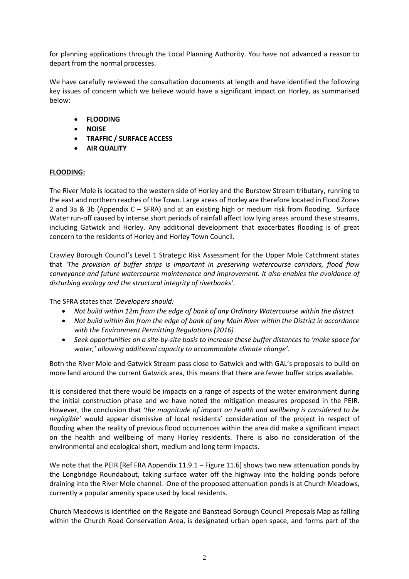for planning applications through the Local Planning Authority. You have not advanced a reason to depart from the normal processes.

We have carefully reviewed the consultation documents at length and have identified the following key issues of concern which we believe would have a significant impact on Horley, as summarised below:

- **FLOODING**
- **NOISE**
- **TRAFFIC / SURFACE ACCESS**
- **AIR QUALITY**

# **FLOODING:**

The River Mole is located to the western side of Horley and the Burstow Stream tributary, running to the east and northern reaches of the Town. Large areas of Horley are therefore located in Flood Zones 2 and 3a & 3b (Appendix C – SFRA) and at an existing high or medium risk from flooding. Surface Water run-off caused by intense short periods of rainfall affect low lying areas around these streams, including Gatwick and Horley. Any additional development that exacerbates flooding is of great concern to the residents of Horley and Horley Town Council.

Crawley Borough Council's Level 1 Strategic Risk Assessment for the Upper Mole Catchment states that *'The provision of buffer strips is important in preserving watercourse corridors, flood flow conveyance and future watercourse maintenance and improvement. It also enables the avoidance of disturbing ecology and the structural integrity of riverbanks'.*

The SFRA states that '*Developers should:*

- *Not build within 12m from the edge of bank of any Ordinary Watercourse within the district*
- *Not build within 8m from the edge of bank of any Main River within the District in accordance with the Environment Permitting Regulations (2016)*
- *Seek opportunities on a site-by-site basis to increase these buffer distances to 'make space for water,' allowing additional capacity to accommodate climate change'.*

Both the River Mole and Gatwick Stream pass close to Gatwick and with GAL's proposals to build on more land around the current Gatwick area, this means that there are fewer buffer strips available.

It is considered that there would be impacts on a range of aspects of the water environment during the initial construction phase and we have noted the mitigation measures proposed in the PEIR. However, the conclusion that *'the magnitude of impact on health and wellbeing is considered to be negligible'* would appear dismissive of local residents' consideration of the project in respect of flooding when the reality of previous flood occurrences within the area did make a significant impact on the health and wellbeing of many Horley residents. There is also no consideration of the environmental and ecological short, medium and long term impacts.

We note that the PEIR [Ref FRA Appendix 11.9.1 – Figure 11.6] shows two new attenuation ponds by the Longbridge Roundabout, taking surface water off the highway into the holding ponds before draining into the River Mole channel. One of the proposed attenuation ponds is at Church Meadows, currently a popular amenity space used by local residents.

Church Meadows is identified on the Reigate and Banstead Borough Council Proposals Map as falling within the Church Road Conservation Area, is designated urban open space, and forms part of the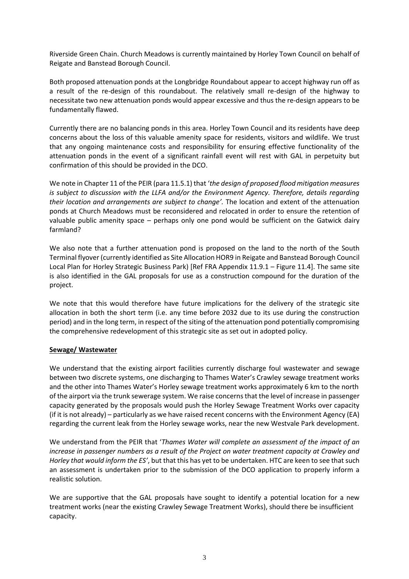Riverside Green Chain. Church Meadows is currently maintained by Horley Town Council on behalf of Reigate and Banstead Borough Council.

Both proposed attenuation ponds at the Longbridge Roundabout appear to accept highway run off as a result of the re-design of this roundabout. The relatively small re-design of the highway to necessitate two new attenuation ponds would appear excessive and thus the re-design appears to be fundamentally flawed.

Currently there are no balancing ponds in this area. Horley Town Council and its residents have deep concerns about the loss of this valuable amenity space for residents, visitors and wildlife. We trust that any ongoing maintenance costs and responsibility for ensuring effective functionality of the attenuation ponds in the event of a significant rainfall event will rest with GAL in perpetuity but confirmation of this should be provided in the DCO.

We note in Chapter 11 of the PEIR (para 11.5.1) that '*the design of proposed flood mitigation measures is subject to discussion with the LLFA and/or the Environment Agency. Therefore, details regarding their location and arrangements are subject to change'.* The location and extent of the attenuation ponds at Church Meadows must be reconsidered and relocated in order to ensure the retention of valuable public amenity space – perhaps only one pond would be sufficient on the Gatwick dairy farmland?

We also note that a further attenuation pond is proposed on the land to the north of the South Terminal flyover (currently identified as Site Allocation HOR9 in Reigate and Banstead Borough Council Local Plan for Horley Strategic Business Park) [Ref FRA Appendix 11.9.1 – Figure 11.4]. The same site is also identified in the GAL proposals for use as a construction compound for the duration of the project.

We note that this would therefore have future implications for the delivery of the strategic site allocation in both the short term (i.e. any time before 2032 due to its use during the construction period) and in the long term, in respect of the siting of the attenuation pond potentially compromising the comprehensive redevelopment of this strategic site as set out in adopted policy.

#### **Sewage/ Wastewater**

We understand that the existing airport facilities currently discharge foul wastewater and sewage between two discrete systems, one discharging to Thames Water's Crawley sewage treatment works and the other into Thames Water's Horley sewage treatment works approximately 6 km to the north of the airport via the trunk sewerage system. We raise concernsthat the level of increase in passenger capacity generated by the proposals would push the Horley Sewage Treatment Works over capacity (if it is not already) – particularly as we have raised recent concerns with the Environment Agency (EA) regarding the current leak from the Horley sewage works, near the new Westvale Park development.

We understand from the PEIR that '*Thames Water will complete an assessment of the impact of an increase in passenger numbers as a result of the Project on water treatment capacity at Crawley and Horley that would inform the ES'*, but that this has yet to be undertaken. HTC are keen to see that such an assessment is undertaken prior to the submission of the DCO application to properly inform a realistic solution.

We are supportive that the GAL proposals have sought to identify a potential location for a new treatment works (near the existing Crawley Sewage Treatment Works), should there be insufficient capacity.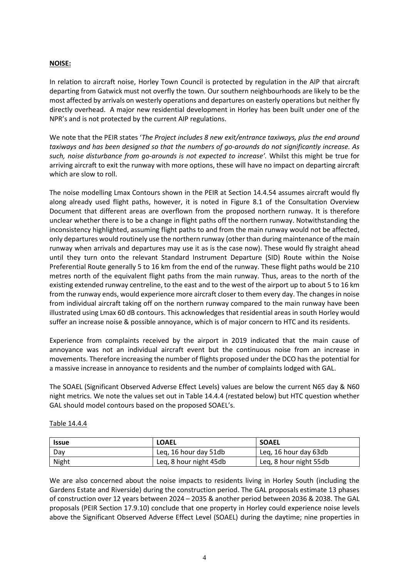## **NOISE:**

In relation to aircraft noise, Horley Town Council is protected by regulation in the AIP that aircraft departing from Gatwick must not overfly the town. Our southern neighbourhoods are likely to be the most affected by arrivals on westerly operations and departures on easterly operations but neither fly directly overhead. A major new residential development in Horley has been built under one of the NPR's and is not protected by the current AIP regulations.

We note that the PEIR states '*The Project includes 8 new exit/entrance taxiways, plus the end around taxiways and has been designed so that the numbers of go-arounds do not significantly increase. As such, noise disturbance from go-arounds is not expected to increase'.* Whilst this might be true for arriving aircraft to exit the runway with more options, these will have no impact on departing aircraft which are slow to roll.

The noise modelling Lmax Contours shown in the PEIR at Section 14.4.54 assumes aircraft would fly along already used flight paths, however, it is noted in Figure 8.1 of the Consultation Overview Document that different areas are overflown from the proposed northern runway. It is therefore unclear whether there is to be a change in flight paths off the northern runway. Notwithstanding the inconsistency highlighted, assuming flight paths to and from the main runway would not be affected, only departures would routinely use the northern runway (other than during maintenance of the main runway when arrivals and departures may use it as is the case now). These would fly straight ahead until they turn onto the relevant Standard Instrument Departure (SID) Route within the Noise Preferential Route generally 5 to 16 km from the end of the runway. These flight paths would be 210 metres north of the equivalent flight paths from the main runway. Thus, areas to the north of the existing extended runway centreline, to the east and to the west of the airport up to about 5 to 16 km from the runway ends, would experience more aircraft closer to them every day. The changes in noise from individual aircraft taking off on the northern runway compared to the main runway have been illustrated using Lmax 60 dB contours. This acknowledges that residential areas in south Horley would suffer an increase noise & possible annoyance, which is of major concern to HTC and its residents.

Experience from complaints received by the airport in 2019 indicated that the main cause of annoyance was not an individual aircraft event but the continuous noise from an increase in movements. Therefore increasing the number of flights proposed under the DCO has the potential for a massive increase in annoyance to residents and the number of complaints lodged with GAL.

The SOAEL (Significant Observed Adverse Effect Levels) values are below the current N65 day & N60 night metrics. We note the values set out in Table 14.4.4 (restated below) but HTC question whether GAL should model contours based on the proposed SOAEL's.

| <b>Issue</b> | <b>LOAEL</b>           | <b>SOAEL</b>           |
|--------------|------------------------|------------------------|
| Day          | Leg, 16 hour day 51db  | Leg, 16 hour day 63db  |
| Night        | Leq, 8 hour night 45db | Leq, 8 hour night 55db |

#### Table 14.4.4

We are also concerned about the noise impacts to residents living in Horley South (including the Gardens Estate and Riverside) during the construction period. The GAL proposals estimate 13 phases of construction over 12 years between 2024 – 2035 & another period between 2036 & 2038. The GAL proposals (PEIR Section 17.9.10) conclude that one property in Horley could experience noise levels above the Significant Observed Adverse Effect Level (SOAEL) during the daytime; nine properties in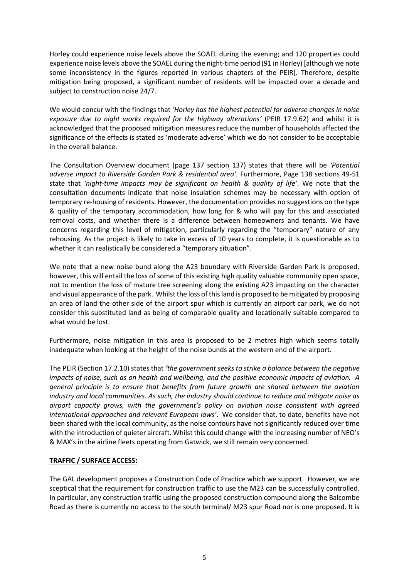Horley could experience noise levels above the SOAEL during the evening; and 120 properties could experience noise levels above the SOAEL during the night-time period (91 in Horley) [although we note some inconsistency in the figures reported in various chapters of the PEIR]. Therefore, despite mitigation being proposed, a significant number of residents will be impacted over a decade and subject to construction noise 24/7.

We would concur with the findings that *'Horley has the highest potential for adverse changes in noise exposure due to night works required for the highway alterations'* (PEIR 17.9.62) and whilst it is acknowledged that the proposed mitigation measures reduce the number of households affected the significance of the effects is stated as 'moderate adverse' which we do not consider to be acceptable in the overall balance.

The Consultation Overview document (page 137 section 137) states that there will be *'Potential adverse impact to Riverside Garden Park & residential area'.* Furthermore, Page 138 sections 49-51 state that *'night-time impacts may be significant on health & quality of life'*. We note that the consultation documents indicate that noise insulation schemes may be necessary with option of temporary re-housing of residents. However, the documentation provides no suggestions on the type & quality of the temporary accommodation, how long for & who will pay for this and associated removal costs, and whether there is a difference between homeowners and tenants. We have concerns regarding this level of mitigation, particularly regarding the "temporary" nature of any rehousing. As the project is likely to take in excess of 10 years to complete, it is questionable as to whether it can realistically be considered a "temporary situation".

We note that a new noise bund along the A23 boundary with Riverside Garden Park is proposed, however, this will entail the loss of some of this existing high quality valuable community open space, not to mention the loss of mature tree screening along the existing A23 impacting on the character and visual appearance of the park. Whilst the loss of this land is proposed to be mitigated by proposing an area of land the other side of the airport spur which is currently an airport car park, we do not consider this substituted land as being of comparable quality and locationally suitable compared to what would be lost.

Furthermore, noise mitigation in this area is proposed to be 2 metres high which seems totally inadequate when looking at the height of the noise bunds at the western end of the airport.

The PEIR (Section 17.2.10) states that *'the government seeks to strike a balance between the negative impacts of noise, such as on health and wellbeing, and the positive economic impacts of aviation. A general principle is to ensure that benefits from future growth are shared between the aviation industry and local communities. As such, the industry should continue to reduce and mitigate noise as airport capacity grows, with the government's policy on aviation noise consistent with agreed international approaches and relevant European laws'*. We consider that, to date, benefits have not been shared with the local community, as the noise contours have not significantly reduced over time with the introduction of quieter aircraft. Whilst this could change with the increasing number of NEO's & MAX's in the airline fleets operating from Gatwick, we still remain very concerned.

#### **TRAFFIC / SURFACE ACCESS:**

The GAL development proposes a Construction Code of Practice which we support. However, we are sceptical that the requirement for construction traffic to use the M23 can be successfully controlled. In particular, any construction traffic using the proposed construction compound along the Balcombe Road as there is currently no access to the south terminal/ M23 spur Road nor is one proposed. It is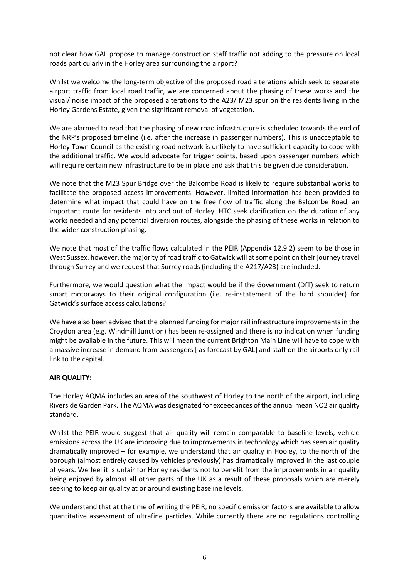not clear how GAL propose to manage construction staff traffic not adding to the pressure on local roads particularly in the Horley area surrounding the airport?

Whilst we welcome the long-term objective of the proposed road alterations which seek to separate airport traffic from local road traffic, we are concerned about the phasing of these works and the visual/ noise impact of the proposed alterations to the A23/ M23 spur on the residents living in the Horley Gardens Estate, given the significant removal of vegetation.

We are alarmed to read that the phasing of new road infrastructure is scheduled towards the end of the NRP's proposed timeline (i.e. after the increase in passenger numbers). This is unacceptable to Horley Town Council as the existing road network is unlikely to have sufficient capacity to cope with the additional traffic. We would advocate for trigger points, based upon passenger numbers which will require certain new infrastructure to be in place and ask that this be given due consideration.

We note that the M23 Spur Bridge over the Balcombe Road is likely to require substantial works to facilitate the proposed access improvements. However, limited information has been provided to determine what impact that could have on the free flow of traffic along the Balcombe Road, an important route for residents into and out of Horley. HTC seek clarification on the duration of any works needed and any potential diversion routes, alongside the phasing of these works in relation to the wider construction phasing.

We note that most of the traffic flows calculated in the PEIR (Appendix 12.9.2) seem to be those in West Sussex, however, the majority of road traffic to Gatwick will at some point on their journey travel through Surrey and we request that Surrey roads (including the A217/A23) are included.

Furthermore, we would question what the impact would be if the Government (DfT) seek to return smart motorways to their original configuration (i.e. re-instatement of the hard shoulder) for Gatwick's surface access calculations?

We have also been advised that the planned funding for major rail infrastructure improvements in the Croydon area (e.g. Windmill Junction) has been re-assigned and there is no indication when funding might be available in the future. This will mean the current Brighton Main Line will have to cope with a massive increase in demand from passengers [ as forecast by GAL] and staff on the airports only rail link to the capital.

#### **AIR QUALITY:**

The Horley AQMA includes an area of the southwest of Horley to the north of the airport, including Riverside Garden Park. The AQMA was designated for exceedances of the annual mean NO2 air quality standard.

Whilst the PEIR would suggest that air quality will remain comparable to baseline levels, vehicle emissions across the UK are improving due to improvements in technology which has seen air quality dramatically improved – for example, we understand that air quality in Hooley, to the north of the borough (almost entirely caused by vehicles previously) has dramatically improved in the last couple of years. We feel it is unfair for Horley residents not to benefit from the improvements in air quality being enjoyed by almost all other parts of the UK as a result of these proposals which are merely seeking to keep air quality at or around existing baseline levels.

We understand that at the time of writing the PEIR, no specific emission factors are available to allow quantitative assessment of ultrafine particles. While currently there are no regulations controlling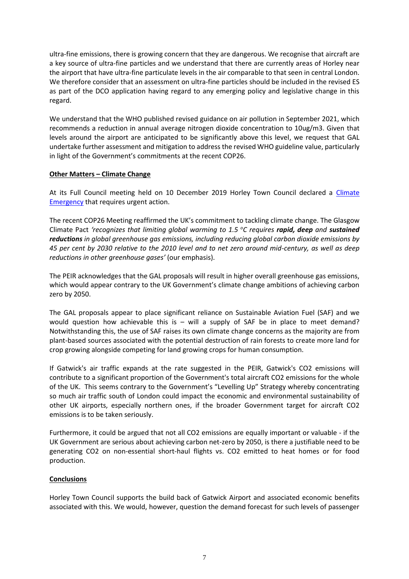ultra-fine emissions, there is growing concern that they are dangerous. We recognise that aircraft are a key source of ultra-fine particles and we understand that there are currently areas of Horley near the airport that have ultra-fine particulate levels in the air comparable to that seen in central London. We therefore consider that an assessment on ultra-fine particles should be included in the revised ES as part of the DCO application having regard to any emerging policy and legislative change in this regard.

We understand that the WHO published revised guidance on air pollution in September 2021, which recommends a reduction in annual average nitrogen dioxide concentration to 10ug/m3. Given that levels around the airport are anticipated to be significantly above this level, we request that GAL undertake further assessment and mitigation to address the revised WHO guideline value, particularly in light of the Government's commitments at the recent COP26.

#### **Other Matters – Climate Change**

At its Full Council meeting held on 10 December 2019 Horley Town Council declared a Climate **[Emergency](https://www.horleysurrey-tc.gov.uk/news/article/993) that requires urgent action.** 

The recent COP26 Meeting reaffirmed the UK's commitment to tackling climate change. The Glasgow Climate Pact *'recognizes that limiting global warming to 1.5 <sup>o</sup>C requires rapid, deep and sustained reductions in global greenhouse gas emissions, including reducing global carbon dioxide emissions by 45 per cent by 2030 relative to the 2010 level and to net zero around mid-century, as well as deep reductions in other greenhouse gases'* (our emphasis).

The PEIR acknowledges that the GAL proposals will result in higher overall greenhouse gas emissions, which would appear contrary to the UK Government's climate change ambitions of achieving carbon zero by 2050.

The GAL proposals appear to place significant reliance on Sustainable Aviation Fuel (SAF) and we would question how achievable this is  $-$  will a supply of SAF be in place to meet demand? Notwithstanding this, the use of SAF raises its own climate change concerns as the majority are from plant-based sources associated with the potential destruction of rain forests to create more land for crop growing alongside competing for land growing crops for human consumption.

If Gatwick's air traffic expands at the rate suggested in the PEIR, Gatwick's CO2 emissions will contribute to a significant proportion of the Government's total aircraft CO2 emissions for the whole of the UK. This seems contrary to the Government's "Levelling Up" Strategy whereby concentrating so much air traffic south of London could impact the economic and environmental sustainability of other UK airports, especially northern ones, if the broader Government target for aircraft CO2 emissions is to be taken seriously.

Furthermore, it could be argued that not all CO2 emissions are equally important or valuable - if the UK Government are serious about achieving carbon net-zero by 2050, is there a justifiable need to be generating CO2 on non-essential short-haul flights vs. CO2 emitted to heat homes or for food production.

# **Conclusions**

Horley Town Council supports the build back of Gatwick Airport and associated economic benefits associated with this. We would, however, question the demand forecast for such levels of passenger